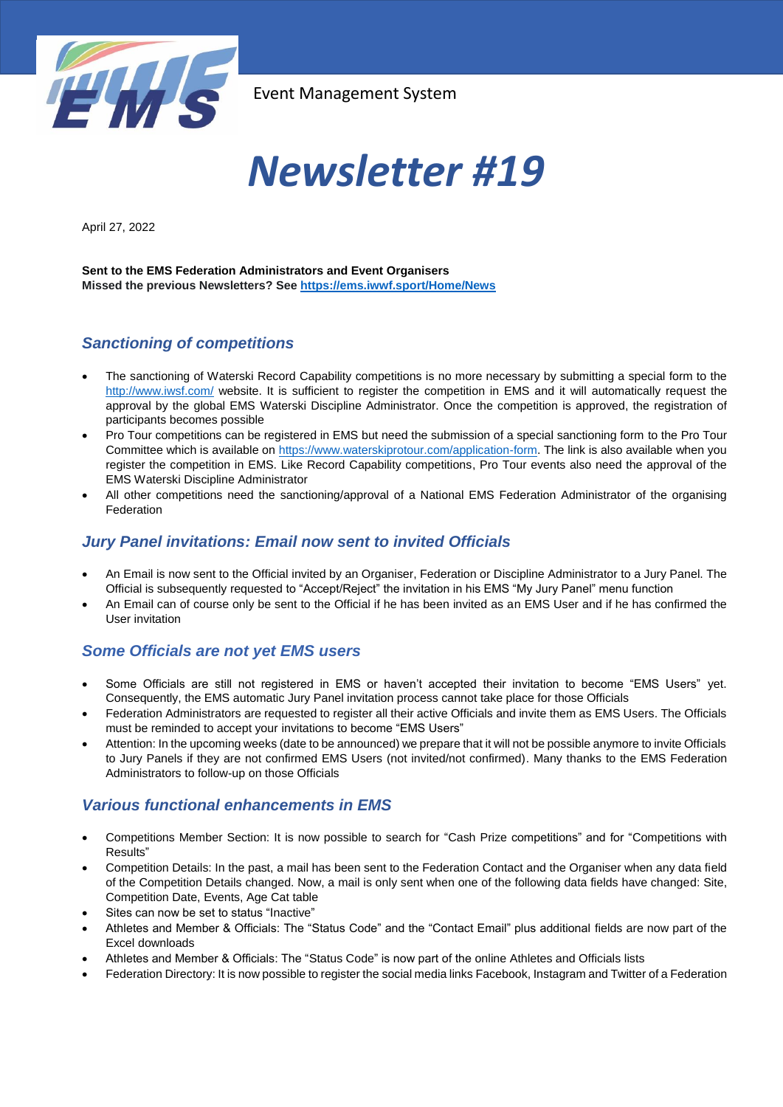

# *Newsletter #19*

April 27, 2022

**Sent to the EMS Federation Administrators and Event Organisers Missed the previous Newsletters? See <https://ems.iwwf.sport/Home/News>**

# *Sanctioning of competitions*

- The sanctioning of Waterski Record Capability competitions is no more necessary by submitting a special form to the <http://www.iwsf.com/> website. It is sufficient to register the competition in EMS and it will automatically request the approval by the global EMS Waterski Discipline Administrator. Once the competition is approved, the registration of participants becomes possible
- Pro Tour competitions can be registered in EMS but need the submission of a special sanctioning form to the Pro Tour Committee which is available on [https://www.waterskiprotour.com/application-form.](https://www.waterskiprotour.com/application-form) The link is also available when you register the competition in EMS. Like Record Capability competitions, Pro Tour events also need the approval of the EMS Waterski Discipline Administrator
- All other competitions need the sanctioning/approval of a National EMS Federation Administrator of the organising Federation

## *Jury Panel invitations: Email now sent to invited Officials*

- An Email is now sent to the Official invited by an Organiser, Federation or Discipline Administrator to a Jury Panel. The Official is subsequently requested to "Accept/Reject" the invitation in his EMS "My Jury Panel" menu function
- An Email can of course only be sent to the Official if he has been invited as an EMS User and if he has confirmed the User invitation

## *Some Officials are not yet EMS users*

- Some Officials are still not registered in EMS or haven't accepted their invitation to become "EMS Users" yet. Consequently, the EMS automatic Jury Panel invitation process cannot take place for those Officials
- Federation Administrators are requested to register all their active Officials and invite them as EMS Users. The Officials must be reminded to accept your invitations to become "EMS Users"
- Attention: In the upcoming weeks (date to be announced) we prepare that it will not be possible anymore to invite Officials to Jury Panels if they are not confirmed EMS Users (not invited/not confirmed). Many thanks to the EMS Federation Administrators to follow-up on those Officials

# *Various functional enhancements in EMS*

- Competitions Member Section: It is now possible to search for "Cash Prize competitions" and for "Competitions with Results"
- Competition Details: In the past, a mail has been sent to the Federation Contact and the Organiser when any data field of the Competition Details changed. Now, a mail is only sent when one of the following data fields have changed: Site, Competition Date, Events, Age Cat table
- Sites can now be set to status "Inactive"
- Athletes and Member & Officials: The "Status Code" and the "Contact Email" plus additional fields are now part of the Excel downloads
- Athletes and Member & Officials: The "Status Code" is now part of the online Athletes and Officials lists
- Federation Directory: It is now possible to register the social media links Facebook, Instagram and Twitter of a Federation